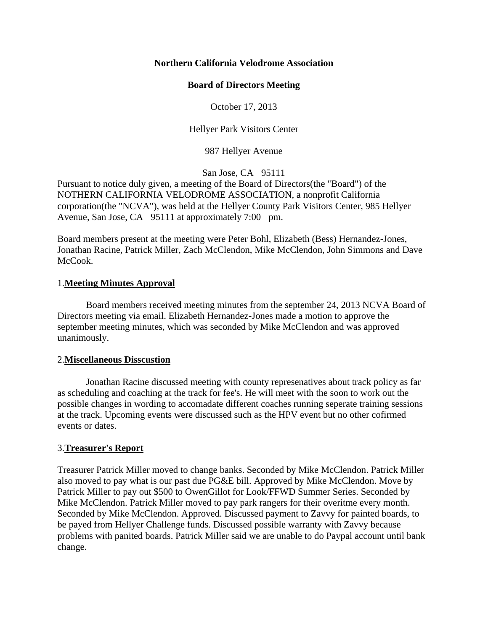## **Northern California Velodrome Association**

# **Board of Directors Meeting**

October 17, 2013

Hellyer Park Visitors Center

987 Hellyer Avenue

San Jose, CA 95111

Pursuant to notice duly given, a meeting of the Board of Directors(the "Board") of the NOTHERN CALIFORNIA VELODROME ASSOCIATION, a nonprofit California corporation(the "NCVA"), was held at the Hellyer County Park Visitors Center, 985 Hellyer Avenue, San Jose, CA 95111 at approximately 7:00 pm.

Board members present at the meeting were Peter Bohl, Elizabeth (Bess) Hernandez-Jones, Jonathan Racine, Patrick Miller, Zach McClendon, Mike McClendon, John Simmons and Dave McCook.

# 1.**Meeting Minutes Approval**

Board members received meeting minutes from the september 24, 2013 NCVA Board of Directors meeting via email. Elizabeth Hernandez-Jones made a motion to approve the september meeting minutes, which was seconded by Mike McClendon and was approved unanimously.

## 2.**Miscellaneous Disscustion**

Jonathan Racine discussed meeting with county represenatives about track policy as far as scheduling and coaching at the track for fee's. He will meet with the soon to work out the possible changes in wording to accomadate different coaches running seperate training sessions at the track. Upcoming events were discussed such as the HPV event but no other cofirmed events or dates.

# 3.**Treasurer's Report**

Treasurer Patrick Miller moved to change banks. Seconded by Mike McClendon. Patrick Miller also moved to pay what is our past due PG&E bill. Approved by Mike McClendon. Move by Patrick Miller to pay out \$500 to OwenGillot for Look/FFWD Summer Series. Seconded by Mike McClendon. Patrick Miller moved to pay park rangers for their overitme every month. Seconded by Mike McClendon. Approved. Discussed payment to Zavvy for painted boards, to be payed from Hellyer Challenge funds. Discussed possible warranty with Zavvy because problems with panited boards. Patrick Miller said we are unable to do Paypal account until bank change.